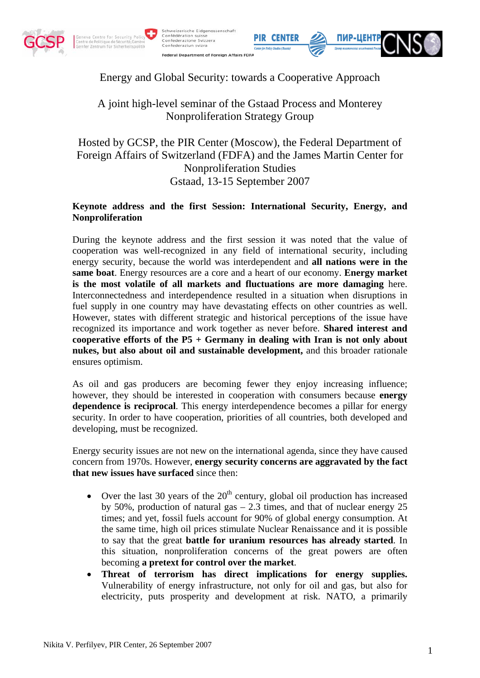







## Energy and Global Security: towards a Cooperative Approach

# A joint high-level seminar of the Gstaad Process and Monterey Nonproliferation Strategy Group

Hosted by GCSP, the PIR Center (Moscow), the Federal Department of Foreign Affairs of Switzerland (FDFA) and the James Martin Center for Nonproliferation Studies Gstaad, 13-15 September 2007

#### **Keynote address and the first Session: International Security, Energy, and Nonproliferation**

During the keynote address and the first session it was noted that the value of cooperation was well-recognized in any field of international security, including energy security, because the world was interdependent and **all nations were in the same boat**. Energy resources are a core and a heart of our economy. **Energy market is the most volatile of all markets and fluctuations are more damaging** here. Interconnectedness and interdependence resulted in a situation when disruptions in fuel supply in one country may have devastating effects on other countries as well. However, states with different strategic and historical perceptions of the issue have recognized its importance and work together as never before. **Shared interest and cooperative efforts of the P5 + Germany in dealing with Iran is not only about nukes, but also about oil and sustainable development,** and this broader rationale ensures optimism.

As oil and gas producers are becoming fewer they enjoy increasing influence; however, they should be interested in cooperation with consumers because **energy dependence is reciprocal**. This energy interdependence becomes a pillar for energy security. In order to have cooperation, priorities of all countries, both developed and developing, must be recognized.

Energy security issues are not new on the international agenda, since they have caused concern from 1970s. However, **energy security concerns are aggravated by the fact that new issues have surfaced** since then:

- Over the last 30 years of the  $20<sup>th</sup>$  century, global oil production has increased by 50%, production of natural gas – 2.3 times, and that of nuclear energy 25 times; and yet, fossil fuels account for 90% of global energy consumption. At the same time, high oil prices stimulate Nuclear Renaissance and it is possible to say that the great **battle for uranium resources has already started**. In this situation, nonproliferation concerns of the great powers are often becoming **a pretext for control over the market**.
- **Threat of terrorism has direct implications for energy supplies.** Vulnerability of energy infrastructure, not only for oil and gas, but also for electricity, puts prosperity and development at risk. NATO, a primarily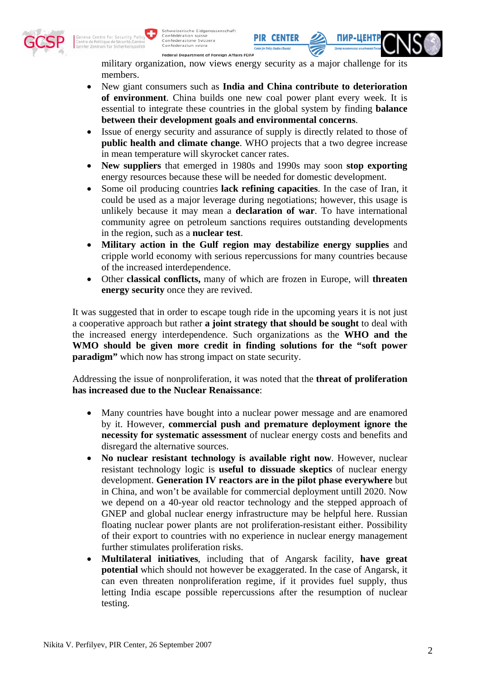

Schweizerische Fidgenossenschaft Schweizerische Eidgenos<br>Confédération suisse<br>Confederazione Svizzera<br>Confederaziun svizra

Federal Department of Foreign Affairs FDFA

military organization, now views energy security as a major challenge for its members.

- New giant consumers such as **India and China contribute to deterioration of environment**. China builds one new coal power plant every week. It is essential to integrate these countries in the global system by finding **balance between their development goals and environmental concerns**.
- Issue of energy security and assurance of supply is directly related to those of **public health and climate change**. WHO projects that a two degree increase in mean temperature will skyrocket cancer rates.
- **New suppliers** that emerged in 1980s and 1990s may soon **stop exporting** energy resources because these will be needed for domestic development.
- Some oil producing countries **lack refining capacities**. In the case of Iran, it could be used as a major leverage during negotiations; however, this usage is unlikely because it may mean a **declaration of war**. To have international community agree on petroleum sanctions requires outstanding developments in the region, such as a **nuclear test**.
- **Military action in the Gulf region may destabilize energy supplies** and cripple world economy with serious repercussions for many countries because of the increased interdependence.
- Other **classical conflicts,** many of which are frozen in Europe, will **threaten energy security** once they are revived.

It was suggested that in order to escape tough ride in the upcoming years it is not just a cooperative approach but rather **a joint strategy that should be sought** to deal with the increased energy interdependence. Such organizations as the **WHO and the WMO should be given more credit in finding solutions for the "soft power paradigm**" which now has strong impact on state security.

Addressing the issue of nonproliferation, it was noted that the **threat of proliferation has increased due to the Nuclear Renaissance**:

- Many countries have bought into a nuclear power message and are enamored by it. However, **commercial push and premature deployment ignore the necessity for systematic assessment** of nuclear energy costs and benefits and disregard the alternative sources.
- **No nuclear resistant technology is available right now**. However, nuclear resistant technology logic is **useful to dissuade skeptics** of nuclear energy development. **Generation IV reactors are in the pilot phase everywhere** but in China, and won't be available for commercial deployment untill 2020. Now we depend on a 40-year old reactor technology and the stepped approach of GNEP and global nuclear energy infrastructure may be helpful here. Russian floating nuclear power plants are not proliferation-resistant either. Possibility of their export to countries with no experience in nuclear energy management further stimulates proliferation risks.
- **Multilateral initiatives**, including that of Angarsk facility, **have great potential** which should not however be exaggerated. In the case of Angarsk, it can even threaten nonproliferation regime, if it provides fuel supply, thus letting India escape possible repercussions after the resumption of nuclear testing.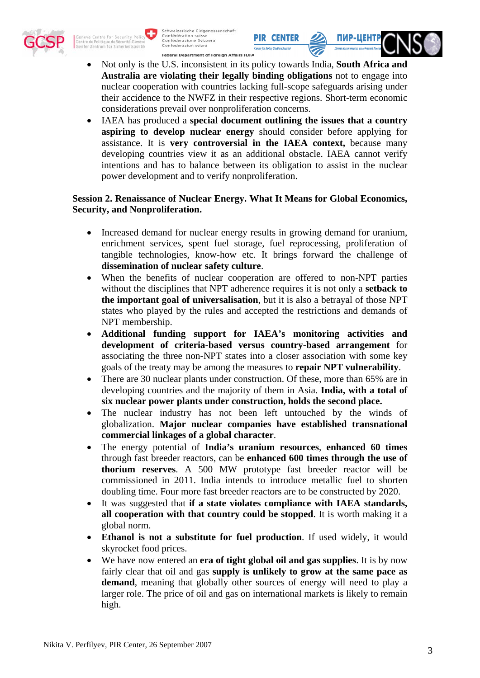



- Not only is the U.S. inconsistent in its policy towards India, **South Africa and Australia are violating their legally binding obligations** not to engage into nuclear cooperation with countries lacking full-scope safeguards arising under their accidence to the NWFZ in their respective regions. Short-term economic considerations prevail over nonproliferation concerns.
- IAEA has produced a **special document outlining the issues that a country aspiring to develop nuclear energy** should consider before applying for assistance. It is **very controversial in the IAEA context,** because many developing countries view it as an additional obstacle. IAEA cannot verify intentions and has to balance between its obligation to assist in the nuclear power development and to verify nonproliferation.

#### **Session 2. Renaissance of Nuclear Energy. What It Means for Global Economics, Security, and Nonproliferation.**

- Increased demand for nuclear energy results in growing demand for uranium, enrichment services, spent fuel storage, fuel reprocessing, proliferation of tangible technologies, know-how etc. It brings forward the challenge of **dissemination of nuclear safety culture**.
- When the benefits of nuclear cooperation are offered to non-NPT parties without the disciplines that NPT adherence requires it is not only a **setback to the important goal of universalisation**, but it is also a betrayal of those NPT states who played by the rules and accepted the restrictions and demands of NPT membership.
- **Additional funding support for IAEA's monitoring activities and development of criteria-based versus country-based arrangement** for associating the three non-NPT states into a closer association with some key goals of the treaty may be among the measures to **repair NPT vulnerability**.
- There are 30 nuclear plants under construction. Of these, more than 65% are in developing countries and the majority of them in Asia. **India, with a total of six nuclear power plants under construction, holds the second place.**
- The nuclear industry has not been left untouched by the winds of globalization. **Major nuclear companies have established transnational commercial linkages of a global character**.
- The energy potential of **India's uranium resources**, **enhanced 60 times** through fast breeder reactors, can be **enhanced 600 times through the use of thorium reserves**. A 500 MW prototype fast breeder reactor will be commissioned in 2011. India intends to introduce metallic fuel to shorten doubling time. Four more fast breeder reactors are to be constructed by 2020.
- It was suggested that **if a state violates compliance with IAEA standards, all cooperation with that country could be stopped**. It is worth making it a global norm.
- **Ethanol is not a substitute for fuel production**. If used widely, it would skyrocket food prices.
- We have now entered an **era of tight global oil and gas supplies**. It is by now fairly clear that oil and gas **supply is unlikely to grow at the same pace as demand**, meaning that globally other sources of energy will need to play a larger role. The price of oil and gas on international markets is likely to remain high.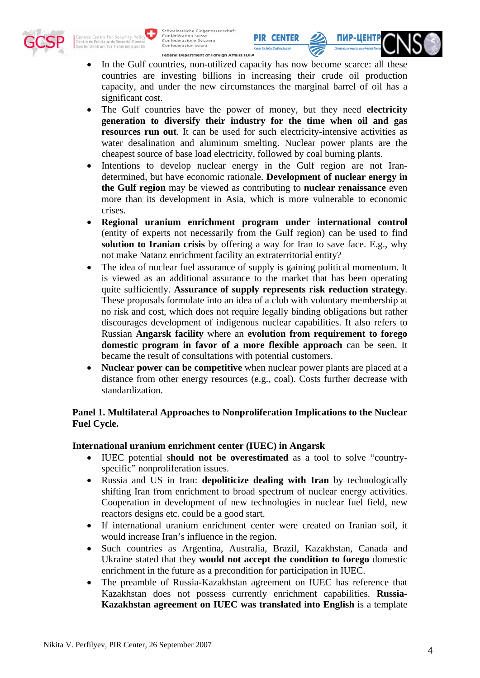

Schweizerische Eidgenossenschaft Schweizerische Eidgenos<br>Confédération suisse<br>Confederazione Svizzera<br>Confederaziun svizra

Federal Department of Foreign Affairs FDFA

In the Gulf countries, non-utilized capacity has now become scarce: all these countries are investing billions in increasing their crude oil production capacity, and under the new circumstances the marginal barrel of oil has a significant cost.

**PIR CENTER** 

ПИР-ЦЕНТ

- The Gulf countries have the power of money, but they need **electricity generation to diversify their industry for the time when oil and gas resources run out**. It can be used for such electricity-intensive activities as water desalination and aluminum smelting. Nuclear power plants are the cheapest source of base load electricity, followed by coal burning plants.
- Intentions to develop nuclear energy in the Gulf region are not Irandetermined, but have economic rationale. **Development of nuclear energy in the Gulf region** may be viewed as contributing to **nuclear renaissance** even more than its development in Asia, which is more vulnerable to economic crises.
- **Regional uranium enrichment program under international control** (entity of experts not necessarily from the Gulf region) can be used to find **solution to Iranian crisis** by offering a way for Iran to save face. E.g., why not make Natanz enrichment facility an extraterritorial entity?
- The idea of nuclear fuel assurance of supply is gaining political momentum. It is viewed as an additional assurance to the market that has been operating quite sufficiently. **Assurance of supply represents risk reduction strategy**. These proposals formulate into an idea of a club with voluntary membership at no risk and cost, which does not require legally binding obligations but rather discourages development of indigenous nuclear capabilities. It also refers to Russian **Angarsk facility** where an **evolution from requirement to forego domestic program in favor of a more flexible approach** can be seen. It became the result of consultations with potential customers.
- **Nuclear power can be competitive** when nuclear power plants are placed at a distance from other energy resources (e.g., coal). Costs further decrease with standardization.

#### **Panel 1. Multilateral Approaches to Nonproliferation Implications to the Nuclear Fuel Cycle.**

#### **International uranium enrichment center (IUEC) in Angarsk**

- IUEC potential s**hould not be overestimated** as a tool to solve "countryspecific" nonproliferation issues.
- Russia and US in Iran: **depoliticize dealing with Iran** by technologically shifting Iran from enrichment to broad spectrum of nuclear energy activities. Cooperation in development of new technologies in nuclear fuel field, new reactors designs etc. could be a good start.
- If international uranium enrichment center were created on Iranian soil, it would increase Iran's influence in the region.
- Such countries as Argentina, Australia, Brazil, Kazakhstan, Canada and Ukraine stated that they **would not accept the condition to forego** domestic enrichment in the future as a precondition for participation in IUEC.
- The preamble of Russia-Kazakhstan agreement on IUEC has reference that Kazakhstan does not possess currently enrichment capabilities. **Russia-Kazakhstan agreement on IUEC was translated into English** is a template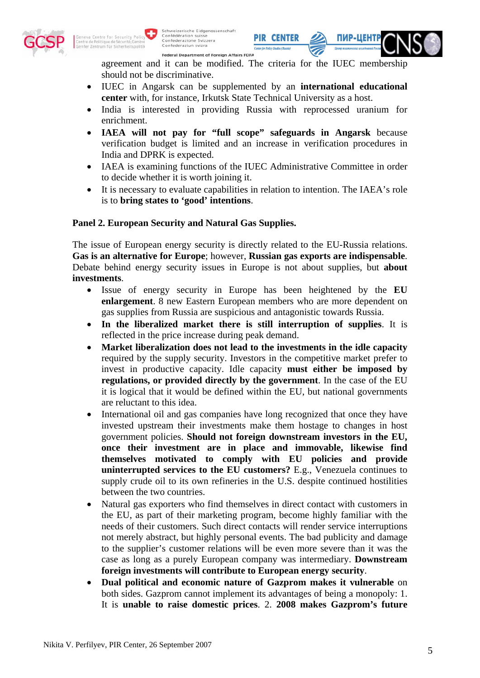

agreement and it can be modified. The criteria for the IUEC membership should not be discriminative.

**PIR CENTER** 

ПИР-ЦЕНТ

- IUEC in Angarsk can be supplemented by an **international educational center** with, for instance, Irkutsk State Technical University as a host.
- India is interested in providing Russia with reprocessed uranium for enrichment.
- **IAEA will not pay for "full scope" safeguards in Angarsk** because verification budget is limited and an increase in verification procedures in India and DPRK is expected.
- IAEA is examining functions of the IUEC Administrative Committee in order to decide whether it is worth joining it.
- It is necessary to evaluate capabilities in relation to intention. The IAEA's role is to **bring states to 'good' intentions**.

### **Panel 2. European Security and Natural Gas Supplies.**

The issue of European energy security is directly related to the EU-Russia relations. **Gas is an alternative for Europe**; however, **Russian gas exports are indispensable**. Debate behind energy security issues in Europe is not about supplies, but **about investments**.

- Issue of energy security in Europe has been heightened by the **EU enlargement**. 8 new Eastern European members who are more dependent on gas supplies from Russia are suspicious and antagonistic towards Russia.
- **In the liberalized market there is still interruption of supplies**. It is reflected in the price increase during peak demand.
- **Market liberalization does not lead to the investments in the idle capacity** required by the supply security. Investors in the competitive market prefer to invest in productive capacity. Idle capacity **must either be imposed by regulations, or provided directly by the government**. In the case of the EU it is logical that it would be defined within the EU, but national governments are reluctant to this idea.
- International oil and gas companies have long recognized that once they have invested upstream their investments make them hostage to changes in host government policies. **Should not foreign downstream investors in the EU, once their investment are in place and immovable, likewise find themselves motivated to comply with EU policies and provide uninterrupted services to the EU customers?** E.g., Venezuela continues to supply crude oil to its own refineries in the U.S. despite continued hostilities between the two countries.
- Natural gas exporters who find themselves in direct contact with customers in the EU, as part of their marketing program, become highly familiar with the needs of their customers. Such direct contacts will render service interruptions not merely abstract, but highly personal events. The bad publicity and damage to the supplier's customer relations will be even more severe than it was the case as long as a purely European company was intermediary. **Downstream foreign investments will contribute to European energy security**.
- **Dual political and economic nature of Gazprom makes it vulnerable** on both sides. Gazprom cannot implement its advantages of being a monopoly: 1. It is **unable to raise domestic prices**. 2. **2008 makes Gazprom's future**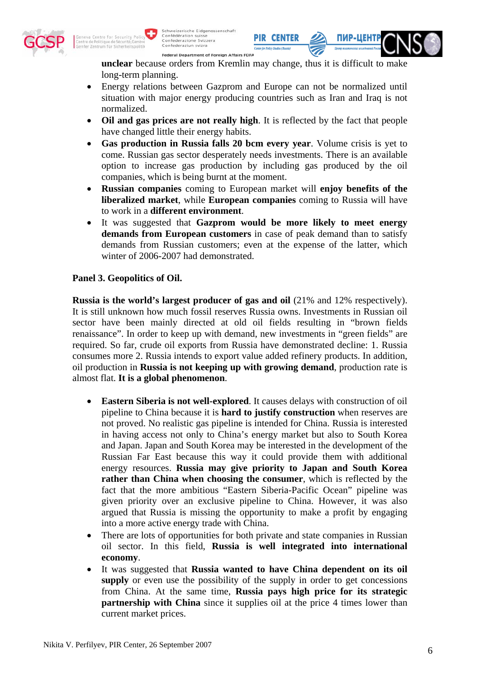

**unclear** because orders from Kremlin may change, thus it is difficult to make long-term planning.

**PIR CENTER** 

ПИР-ЦЕНІ

- Energy relations between Gazprom and Europe can not be normalized until situation with major energy producing countries such as Iran and Iraq is not normalized.
- **Oil and gas prices are not really high**. It is reflected by the fact that people have changed little their energy habits.
- **Gas production in Russia falls 20 bcm every year**. Volume crisis is yet to come. Russian gas sector desperately needs investments. There is an available option to increase gas production by including gas produced by the oil companies, which is being burnt at the moment.
- **Russian companies** coming to European market will **enjoy benefits of the liberalized market**, while **European companies** coming to Russia will have to work in a **different environment**.
- It was suggested that **Gazprom would be more likely to meet energy demands from European customers** in case of peak demand than to satisfy demands from Russian customers; even at the expense of the latter, which winter of 2006-2007 had demonstrated.

#### **Panel 3. Geopolitics of Oil.**

**Russia is the world's largest producer of gas and oil** (21% and 12% respectively). It is still unknown how much fossil reserves Russia owns. Investments in Russian oil sector have been mainly directed at old oil fields resulting in "brown fields renaissance". In order to keep up with demand, new investments in "green fields" are required. So far, crude oil exports from Russia have demonstrated decline: 1. Russia consumes more 2. Russia intends to export value added refinery products. In addition, oil production in **Russia is not keeping up with growing demand**, production rate is almost flat. **It is a global phenomenon**.

- **Eastern Siberia is not well-explored**. It causes delays with construction of oil pipeline to China because it is **hard to justify construction** when reserves are not proved. No realistic gas pipeline is intended for China. Russia is interested in having access not only to China's energy market but also to South Korea and Japan. Japan and South Korea may be interested in the development of the Russian Far East because this way it could provide them with additional energy resources. **Russia may give priority to Japan and South Korea rather than China when choosing the consumer**, which is reflected by the fact that the more ambitious "Eastern Siberia-Pacific Ocean" pipeline was given priority over an exclusive pipeline to China. However, it was also argued that Russia is missing the opportunity to make a profit by engaging into a more active energy trade with China.
- There are lots of opportunities for both private and state companies in Russian oil sector. In this field, **Russia is well integrated into international economy**.
- It was suggested that **Russia wanted to have China dependent on its oil supply** or even use the possibility of the supply in order to get concessions from China. At the same time, **Russia pays high price for its strategic partnership with China** since it supplies oil at the price 4 times lower than current market prices.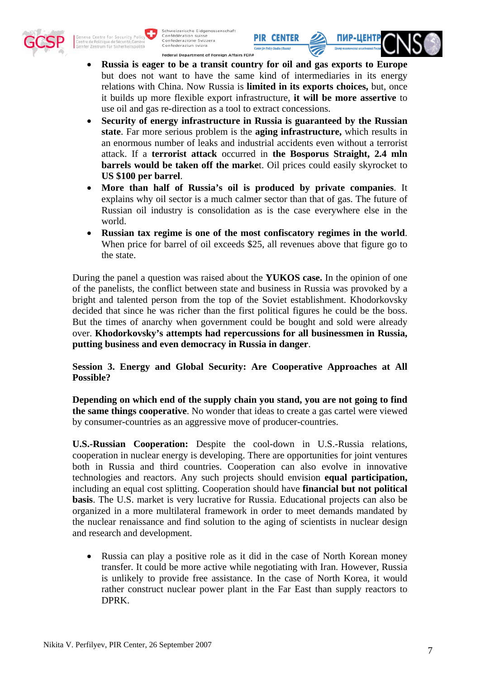



• **Russia is eager to be a transit country for oil and gas exports to Europe** but does not want to have the same kind of intermediaries in its energy relations with China. Now Russia is **limited in its exports choices,** but, once it builds up more flexible export infrastructure, **it will be more assertive** to use oil and gas re-direction as a tool to extract concessions.

**PIR CENTER** 

- **Security of energy infrastructure in Russia is guaranteed by the Russian state**. Far more serious problem is the **aging infrastructure,** which results in an enormous number of leaks and industrial accidents even without a terrorist attack. If a **terrorist attack** occurred in **the Bosporus Straight, 2.4 mln barrels would be taken off the marke**t. Oil prices could easily skyrocket to **US \$100 per barrel**.
- **More than half of Russia's oil is produced by private companies**. It explains why oil sector is a much calmer sector than that of gas. The future of Russian oil industry is consolidation as is the case everywhere else in the world.
- **Russian tax regime is one of the most confiscatory regimes in the world**. When price for barrel of oil exceeds \$25, all revenues above that figure go to the state.

During the panel a question was raised about the **YUKOS case.** In the opinion of one of the panelists, the conflict between state and business in Russia was provoked by a bright and talented person from the top of the Soviet establishment. Khodorkovsky decided that since he was richer than the first political figures he could be the boss. But the times of anarchy when government could be bought and sold were already over. **Khodorkovsky's attempts had repercussions for all businessmen in Russia, putting business and even democracy in Russia in danger**.

**Session 3. Energy and Global Security: Are Cooperative Approaches at All Possible?** 

**Depending on which end of the supply chain you stand, you are not going to find the same things cooperative**. No wonder that ideas to create a gas cartel were viewed by consumer-countries as an aggressive move of producer-countries.

**U.S.-Russian Cooperation:** Despite the cool-down in U.S.-Russia relations, cooperation in nuclear energy is developing. There are opportunities for joint ventures both in Russia and third countries. Cooperation can also evolve in innovative technologies and reactors. Any such projects should envision **equal participation,** including an equal cost splitting. Cooperation should have **financial but not political basis**. The U.S. market is very lucrative for Russia. Educational projects can also be organized in a more multilateral framework in order to meet demands mandated by the nuclear renaissance and find solution to the aging of scientists in nuclear design and research and development.

• Russia can play a positive role as it did in the case of North Korean money transfer. It could be more active while negotiating with Iran. However, Russia is unlikely to provide free assistance. In the case of North Korea, it would rather construct nuclear power plant in the Far East than supply reactors to DPRK.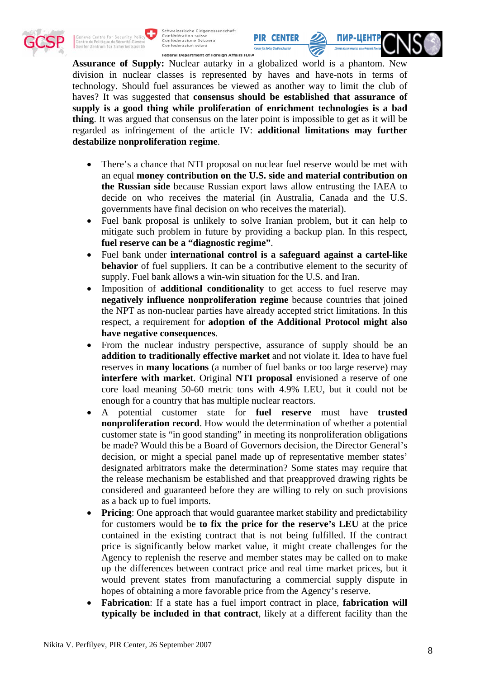

Schweizerische Eidgenossenschaft<br>Confédération suisse<br>Confederazione Svizzera<br>Confederaziun svizra

Federal Department of Foreign Affairs FDFA

**Assurance of Supply:** Nuclear autarky in a globalized world is a phantom. New division in nuclear classes is represented by haves and have-nots in terms of technology. Should fuel assurances be viewed as another way to limit the club of haves? It was suggested that **consensus should be established that assurance of supply is a good thing while proliferation of enrichment technologies is a bad thing**. It was argued that consensus on the later point is impossible to get as it will be regarded as infringement of the article IV: **additional limitations may further destabilize nonproliferation regime**.

**PIR CENTER** 

**ПИР-ЦЕНТ** 

- There's a chance that NTI proposal on nuclear fuel reserve would be met with an equal **money contribution on the U.S. side and material contribution on the Russian side** because Russian export laws allow entrusting the IAEA to decide on who receives the material (in Australia, Canada and the U.S. governments have final decision on who receives the material).
- Fuel bank proposal is unlikely to solve Iranian problem, but it can help to mitigate such problem in future by providing a backup plan. In this respect, **fuel reserve can be a "diagnostic regime"**.
- Fuel bank under **international control is a safeguard against a cartel-like behavior** of fuel suppliers. It can be a contributive element to the security of supply. Fuel bank allows a win-win situation for the U.S. and Iran.
- Imposition of **additional conditionality** to get access to fuel reserve may **negatively influence nonproliferation regime** because countries that joined the NPT as non-nuclear parties have already accepted strict limitations. In this respect, a requirement for **adoption of the Additional Protocol might also have negative consequences**.
- From the nuclear industry perspective, assurance of supply should be an **addition to traditionally effective market** and not violate it. Idea to have fuel reserves in **many locations** (a number of fuel banks or too large reserve) may **interfere with market**. Original **NTI proposal** envisioned a reserve of one core load meaning 50-60 metric tons with 4.9% LEU, but it could not be enough for a country that has multiple nuclear reactors.
- A potential customer state for **fuel reserve** must have **trusted nonproliferation record**. How would the determination of whether a potential customer state is "in good standing" in meeting its nonproliferation obligations be made? Would this be a Board of Governors decision, the Director General's decision, or might a special panel made up of representative member states' designated arbitrators make the determination? Some states may require that the release mechanism be established and that preapproved drawing rights be considered and guaranteed before they are willing to rely on such provisions as a back up to fuel imports.
- **Pricing**: One approach that would guarantee market stability and predictability for customers would be **to fix the price for the reserve's LEU** at the price contained in the existing contract that is not being fulfilled. If the contract price is significantly below market value, it might create challenges for the Agency to replenish the reserve and member states may be called on to make up the differences between contract price and real time market prices, but it would prevent states from manufacturing a commercial supply dispute in hopes of obtaining a more favorable price from the Agency's reserve.
- **Fabrication**: If a state has a fuel import contract in place, **fabrication will typically be included in that contract**, likely at a different facility than the